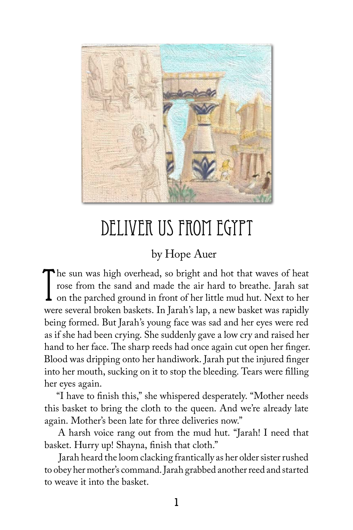

# DELIVER US FROM EGYPT

### by Hope Auer

The sun was high overhead, so bright and hot that waves of heat<br>rose from the sand and made the air hard to breathe. Jarah sat<br>on the parched ground in front of her little mud hut. Next to her<br>were caveral broken backets. The sun was high overhead, so bright and hot that waves of heat rose from the sand and made the air hard to breathe. Jarah sat were several broken baskets. In Jarah's lap, a new basket was rapidly being formed. But Jarah's young face was sad and her eyes were red as if she had been crying. She suddenly gave a low cry and raised her hand to her face. The sharp reeds had once again cut open her finger. Blood was dripping onto her handiwork. Jarah put the injured finger into her mouth, sucking on it to stop the bleeding. Tears were filling her eyes again.

"I have to finish this," she whispered desperately. "Mother needs this basket to bring the cloth to the queen. And we're already late again. Mother's been late for three deliveries now."

A harsh voice rang out from the mud hut. "Jarah! I need that basket. Hurry up! Shayna, finish that cloth."

Jarah heard the loom clacking frantically as her older sister rushed to obey her mother's command. Jarah grabbed another reed and started to weave it into the basket.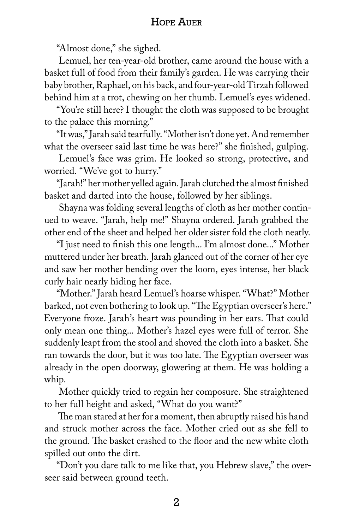#### Hope Auer

"Almost done," she sighed.

Lemuel, her ten-year-old brother, came around the house with a basket full of food from their family's garden. He was carrying their baby brother, Raphael, on his back, and four-year-old Tirzah followed behind him at a trot, chewing on her thumb. Lemuel's eyes widened.

"You're still here? I thought the cloth was supposed to be brought to the palace this morning."

"It was," Jarah said tearfully. "Mother isn't done yet. And remember what the overseer said last time he was here?" she finished, gulping.

Lemuel's face was grim. He looked so strong, protective, and worried. "We've got to hurry."

"Jarah!" her mother yelled again. Jarah clutched the almost finished basket and darted into the house, followed by her siblings.

Shayna was folding several lengths of cloth as her mother continued to weave. "Jarah, help me!" Shayna ordered. Jarah grabbed the other end of the sheet and helped her older sister fold the cloth neatly.

"I just need to finish this one length... I'm almost done..." Mother muttered under her breath. Jarah glanced out of the corner of her eye and saw her mother bending over the loom, eyes intense, her black curly hair nearly hiding her face.

"Mother." Jarah heard Lemuel's hoarse whisper. "What?" Mother barked, not even bothering to look up. "The Egyptian overseer's here." Everyone froze. Jarah's heart was pounding in her ears. That could only mean one thing... Mother's hazel eyes were full of terror. She suddenly leapt from the stool and shoved the cloth into a basket. She ran towards the door, but it was too late. The Egyptian overseer was already in the open doorway, glowering at them. He was holding a whip.

Mother quickly tried to regain her composure. She straightened to her full height and asked, "What do you want?"

The man stared at her for a moment, then abruptly raised his hand and struck mother across the face. Mother cried out as she fell to the ground. The basket crashed to the floor and the new white cloth spilled out onto the dirt.

"Don't you dare talk to me like that, you Hebrew slave," the overseer said between ground teeth.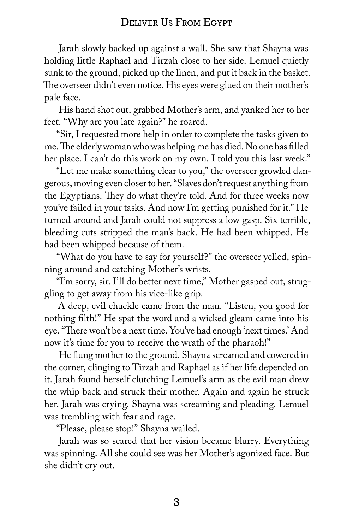#### Deliver Us From Egypt

Jarah slowly backed up against a wall. She saw that Shayna was holding little Raphael and Tirzah close to her side. Lemuel quietly sunk to the ground, picked up the linen, and put it back in the basket. The overseer didn't even notice. His eyes were glued on their mother's pale face.

His hand shot out, grabbed Mother's arm, and yanked her to her feet. "Why are you late again?" he roared.

"Sir, I requested more help in order to complete the tasks given to me. The elderly woman who was helping me has died. No one has filled her place. I can't do this work on my own. I told you this last week."

"Let me make something clear to you," the overseer growled dangerous, moving even closer to her. "Slaves don't request anything from the Egyptians. They do what they're told. And for three weeks now you've failed in your tasks. And now I'm getting punished for it." He turned around and Jarah could not suppress a low gasp. Six terrible, bleeding cuts stripped the man's back. He had been whipped. He had been whipped because of them.

"What do you have to say for yourself?" the overseer yelled, spinning around and catching Mother's wrists.

"I'm sorry, sir. I'll do better next time," Mother gasped out, struggling to get away from his vice-like grip.

A deep, evil chuckle came from the man. "Listen, you good for nothing filth!" He spat the word and a wicked gleam came into his eye. "There won't be a next time. You've had enough 'next times.' And now it's time for you to receive the wrath of the pharaoh!"

He flung mother to the ground. Shayna screamed and cowered in the corner, clinging to Tirzah and Raphael as if her life depended on it. Jarah found herself clutching Lemuel's arm as the evil man drew the whip back and struck their mother. Again and again he struck her. Jarah was crying. Shayna was screaming and pleading. Lemuel was trembling with fear and rage.

"Please, please stop!" Shayna wailed.

Jarah was so scared that her vision became blurry. Everything was spinning. All she could see was her Mother's agonized face. But she didn't cry out.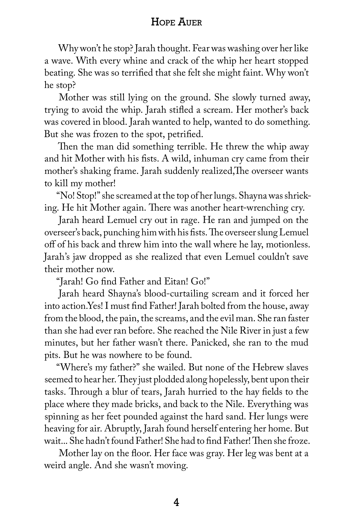#### Hope Auer

Why won't he stop? Jarah thought. Fear was washing over her like a wave. With every whine and crack of the whip her heart stopped beating. She was so terrified that she felt she might faint. Why won't he stop?

Mother was still lying on the ground. She slowly turned away, trying to avoid the whip. Jarah stifled a scream. Her mother's back was covered in blood. Jarah wanted to help, wanted to do something. But she was frozen to the spot, petrified.

Then the man did something terrible. He threw the whip away and hit Mother with his fists. A wild, inhuman cry came from their mother's shaking frame. Jarah suddenly realized,The overseer wants to kill my mother!

"No! Stop!" she screamed at the top of her lungs. Shayna was shrieking. He hit Mother again. There was another heart-wrenching cry.

Jarah heard Lemuel cry out in rage. He ran and jumped on the overseer's back, punching him with his fists. The overseer slung Lemuel off of his back and threw him into the wall where he lay, motionless. Jarah's jaw dropped as she realized that even Lemuel couldn't save their mother now.

"Jarah! Go find Father and Eitan! Go!"

Jarah heard Shayna's blood-curtailing scream and it forced her into action.Yes! I must find Father! Jarah bolted from the house, away from the blood, the pain, the screams, and the evil man. She ran faster than she had ever ran before. She reached the Nile River in just a few minutes, but her father wasn't there. Panicked, she ran to the mud pits. But he was nowhere to be found.

"Where's my father?" she wailed. But none of the Hebrew slaves seemed to hear her. They just plodded along hopelessly, bent upon their tasks. Through a blur of tears, Jarah hurried to the hay fields to the place where they made bricks, and back to the Nile. Everything was spinning as her feet pounded against the hard sand. Her lungs were heaving for air. Abruptly, Jarah found herself entering her home. But wait... She hadn't found Father! She had to find Father! Then she froze.

Mother lay on the floor. Her face was gray. Her leg was bent at a weird angle. And she wasn't moving.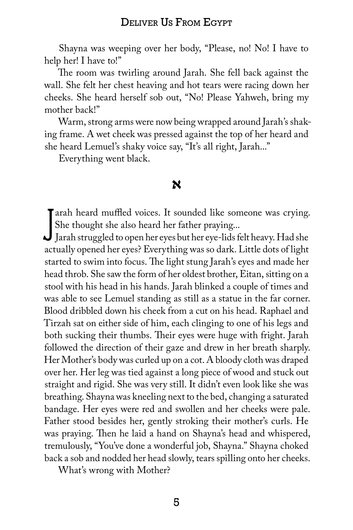#### Deliver Us From Egypt

Shayna was weeping over her body, "Please, no! No! I have to help her! I have to!"

The room was twirling around Jarah. She fell back against the wall. She felt her chest heaving and hot tears were racing down her cheeks. She heard herself sob out, "No! Please Yahweh, bring my mother back!"

Warm, strong arms were now being wrapped around Jarah's shaking frame. A wet cheek was pressed against the top of her heard and she heard Lemuel's shaky voice say, "It's all right, Jarah..."

Everything went black.

#### **א**

Farah heard muffled voices. It sounded like someone was crying.<br>She thought she also heard her father praying...<br>Jarah struggled to open her eyes but her eye-lids felt heavy. Had she<br>estually opened her eyes? Everything wa Tarah heard muffled voices. It sounded like someone was crying. She thought she also heard her father praying...

actually opened her eyes? Everything was so dark. Little dots of light started to swim into focus. The light stung Jarah's eyes and made her head throb. She saw the form of her oldest brother, Eitan, sitting on a stool with his head in his hands. Jarah blinked a couple of times and was able to see Lemuel standing as still as a statue in the far corner. Blood dribbled down his cheek from a cut on his head. Raphael and Tirzah sat on either side of him, each clinging to one of his legs and both sucking their thumbs. Their eyes were huge with fright. Jarah followed the direction of their gaze and drew in her breath sharply. Her Mother's body was curled up on a cot. A bloody cloth was draped over her. Her leg was tied against a long piece of wood and stuck out straight and rigid. She was very still. It didn't even look like she was breathing. Shayna was kneeling next to the bed, changing a saturated bandage. Her eyes were red and swollen and her cheeks were pale. Father stood besides her, gently stroking their mother's curls. He was praying. Then he laid a hand on Shayna's head and whispered, tremulously, "You've done a wonderful job, Shayna." Shayna choked back a sob and nodded her head slowly, tears spilling onto her cheeks.

What's wrong with Mother?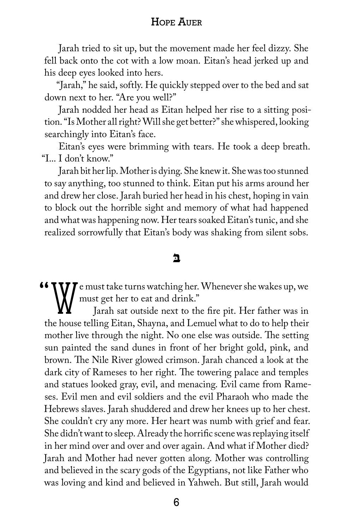#### Hope Auer

Jarah tried to sit up, but the movement made her feel dizzy. She fell back onto the cot with a low moan. Eitan's head jerked up and his deep eyes looked into hers.

"Jarah," he said, softly. He quickly stepped over to the bed and sat down next to her. "Are you well?"

Jarah nodded her head as Eitan helped her rise to a sitting position. "Is Mother all right? Will she get better?" she whispered, looking searchingly into Eitan's face.

Eitan's eyes were brimming with tears. He took a deep breath. "I... I don't know."

Jarah bit her lip. Mother is dying. She knew it. She was too stunned to say anything, too stunned to think. Eitan put his arms around her and drew her close. Jarah buried her head in his chest, hoping in vain to block out the horrible sight and memory of what had happened and what was happening now. Her tears soaked Eitan's tunic, and she realized sorrowfully that Eitan's body was shaking from silent sobs.

#### **ּב**

 $\blacksquare$  T e must take turns watching her. Whenever she wakes up, we must get her to eat and drink."

Jarah sat outside next to the fire pit. Her father was in the house telling Eitan, Shayna, and Lemuel what to do to help their mother live through the night. No one else was outside. The setting sun painted the sand dunes in front of her bright gold, pink, and brown. The Nile River glowed crimson. Jarah chanced a look at the dark city of Rameses to her right. The towering palace and temples and statues looked gray, evil, and menacing. Evil came from Rameses. Evil men and evil soldiers and the evil Pharaoh who made the Hebrews slaves. Jarah shuddered and drew her knees up to her chest. She couldn't cry any more. Her heart was numb with grief and fear. She didn't want to sleep. Already the horrific scene was replaying itself in her mind over and over and over again. And what if Mother died? Jarah and Mother had never gotten along. Mother was controlling and believed in the scary gods of the Egyptians, not like Father who was loving and kind and believed in Yahweh. But still, Jarah would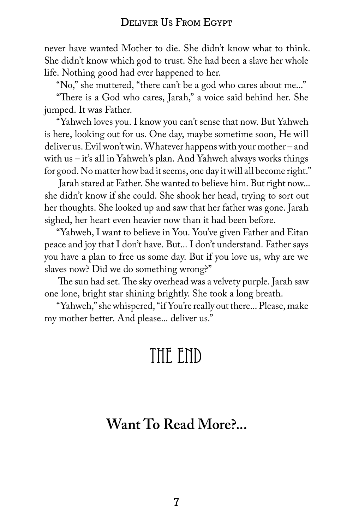never have wanted Mother to die. She didn't know what to think. She didn't know which god to trust. She had been a slave her whole life. Nothing good had ever happened to her.

"No," she muttered, "there can't be a god who cares about me..."

"There is a God who cares, Jarah," a voice said behind her. She jumped. It was Father.

"Yahweh loves you. I know you can't sense that now. But Yahweh is here, looking out for us. One day, maybe sometime soon, He will deliver us. Evil won't win. Whatever happens with your mother – and with us – it's all in Yahweh's plan. And Yahweh always works things for good. No matter how bad it seems, one day it will all become right."

Jarah stared at Father. She wanted to believe him. But right now... she didn't know if she could. She shook her head, trying to sort out her thoughts. She looked up and saw that her father was gone. Jarah sighed, her heart even heavier now than it had been before.

"Yahweh, I want to believe in You. You've given Father and Eitan peace and joy that I don't have. But... I don't understand. Father says you have a plan to free us some day. But if you love us, why are we slaves now? Did we do something wrong?"

The sun had set. The sky overhead was a velvety purple. Jarah saw one lone, bright star shining brightly. She took a long breath.

"Yahweh," she whispered, "if You're really out there... Please, make my mother better. And please... deliver us."

## THE END

## **Want To Read More?...**